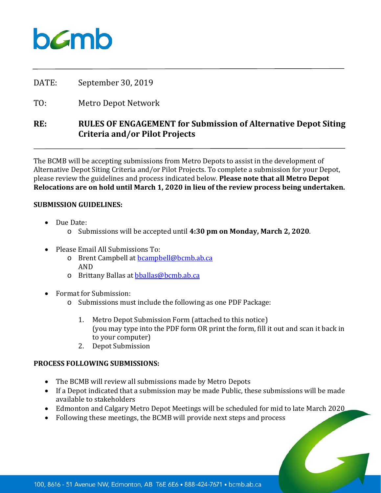# $b$ *C*mb

DATE: September 30, 2019

TO: Metro Depot Network

## **RE: RULES OF ENGAGEMENT for Submission of Alternative Depot Siting Criteria and/or Pilot Projects**

The BCMB will be accepting submissions from Metro Depots to assist in the development of Alternative Depot Siting Criteria and/or Pilot Projects. To complete a submission for your Depot, please review the guidelines and process indicated below. **Please note that all Metro Depot Relocations are on hold until March 1, 2020 in lieu of the review process being undertaken.**

#### **SUBMISSION GUIDELINES:**

- Due Date:
	- o Submissions will be accepted until **4:30 pm on Monday, March 2, 2020**.
- Please Email All Submissions To:
	- o Brent Campbell at [bcampbell@bcmb.ab.ca](mailto:bcampbell@bcmb.ab.ca) AND
	- o Brittany Ballas at **bballas@bcmb.ab.ca**
- Format for Submission:
	- o Submissions must include the following as one PDF Package:
		- 1. Metro Depot Submission Form (attached to this notice) (you may type into the PDF form OR print the form, fill it out and scan it back in to your computer)
		- 2. Depot Submission

#### **PROCESS FOLLOWING SUBMISSIONS:**

- The BCMB will review all submissions made by Metro Depots
- If a Depot indicated that a submission may be made Public, these submissions will be made available to stakeholders
- Edmonton and Calgary Metro Depot Meetings will be scheduled for mid to late March 2020
- Following these meetings, the BCMB will provide next steps and process